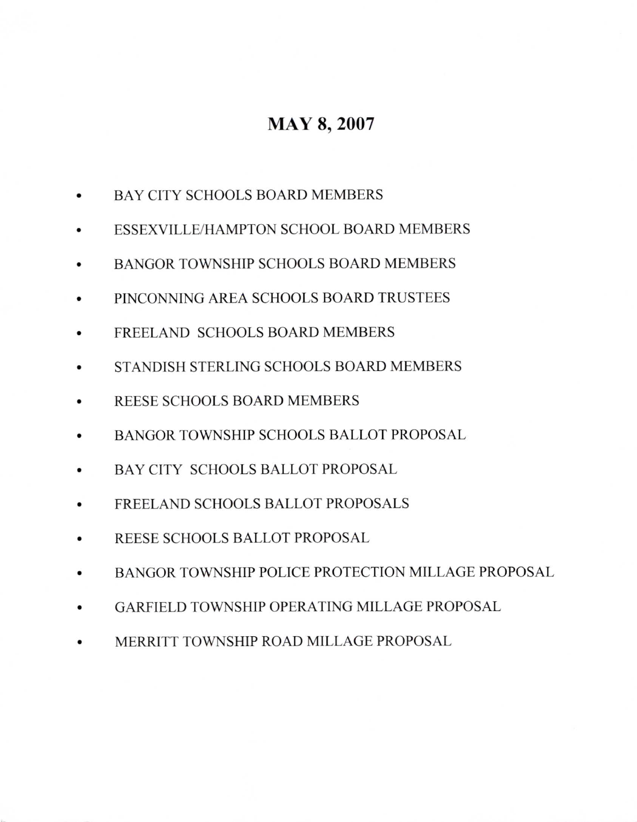## MAY 8, 2007

- a BAYCITY SCHOOLS BOARD MEMBERS
- ESSEXVILLE/HAMPTON SCHOOL BOARD MEMBERS
- BANGOR TOWNSHIP SCHOOLS BOARD MEMBERS
- a PINCONNING AREA SCHOOLS BOARD TRUSTEES
- a FREELAND SCHOOLS BOARD MEMBERS
- a STANDISH STERLING SCHOOLS BOARD MEMBERS
- a REESE SCHOOLS BOARD MEMBERS
- a BANGOR TOWNSHIP SCHOOLS BALLOT PROPOSAL
- BAYCITY SCHOOLS BALLOT PROPOSAL
- a FREELAND SCHOOLS BALLOT PROPOSALS
- a REESE SCHOOLS BALLOT PROPOSAL
- a BANGOR TOWNSHIP POLICE PROTECTION MILLAGE PROPOSAL
- GARFIELD TOWNSHIP OPERATING MILLAGE PROPOSAL
- MERRITT TOWNSHIP ROAD MILLAGE PROPOSAL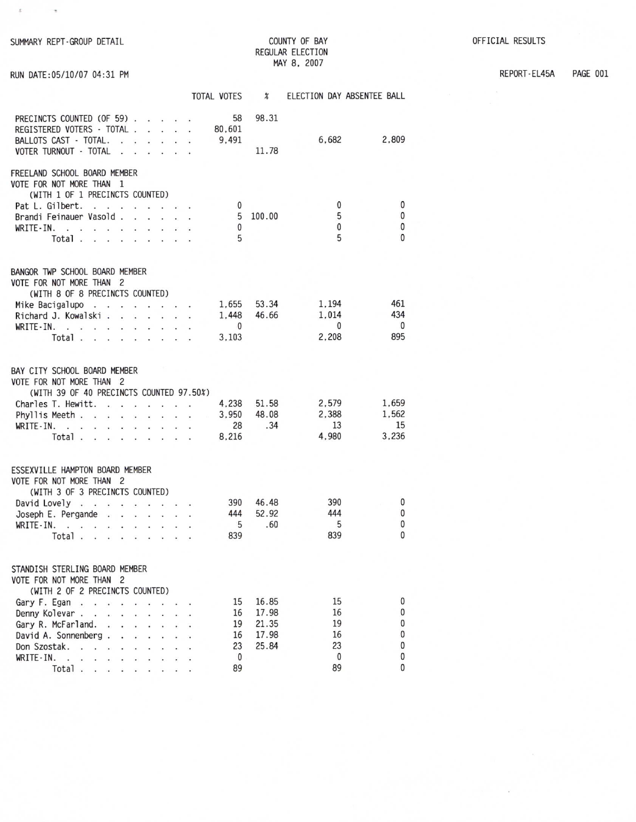SUMMARY REPT-GROUP DETAIL

RUN DATE: 05/10/07 04:31 PM

 $\rightarrow$ 

 $\mathcal{L}^{\mathcal{L}}$ 

## COUNTY OF BAY REGULAR ELECTION MAY 8, 2007

REPORT-EL45A PAGE 001

|                                                                                                                                                                                                                                                                | <b>TOTAL VOTES</b>                                                | $\boldsymbol{\mathcal{X}}$                |                                         | ELECTION DAY ABSENTEE BALL             |
|----------------------------------------------------------------------------------------------------------------------------------------------------------------------------------------------------------------------------------------------------------------|-------------------------------------------------------------------|-------------------------------------------|-----------------------------------------|----------------------------------------|
| PRECINCTS COUNTED (OF 59)<br>REGISTERED VOTERS - TOTAL .<br>and the second<br>BALLOTS CAST - TOTAL.<br>$\ddot{\phantom{0}}$<br>VOTER TURNOUT - TOTAL                                                                                                           | 58<br>80,601<br>9,491                                             | 98.31<br>11.78                            | 6,682                                   | 2,809                                  |
| FREELAND SCHOOL BOARD MEMBER<br>VOTE FOR NOT MORE THAN 1<br>(WITH 1 OF 1 PRECINCTS COUNTED)                                                                                                                                                                    |                                                                   |                                           |                                         |                                        |
| Pat L. Gilbert.<br><b>Contract Contract</b><br>Brandi Feinauer Vasold.<br>WRITE-IN.<br>$\cdot$ .<br>Total.                                                                                                                                                     | 0<br>5<br>0<br>5                                                  | 100.00                                    | 0<br>5<br>0<br>5                        | 0<br>0<br>0<br>$\bf{0}$                |
| BANGOR TWP SCHOOL BOARD MEMBER                                                                                                                                                                                                                                 |                                                                   |                                           |                                         |                                        |
| VOTE FOR NOT MORE THAN 2<br>(WITH 8 OF 8 PRECINCTS COUNTED)                                                                                                                                                                                                    |                                                                   |                                           |                                         |                                        |
| Mike Bacigalupo<br>$\sim$<br>$\ddot{\phantom{a}}$<br>÷,<br>Richard J. Kowalski.<br>Ø.<br>$\cdot$ $\cdot$ $\cdot$ $\cdot$<br>WRITE-IN.<br>$\mathbf{r}$<br>Total.<br>$\overline{a}$<br>$\sim$                                                                    | 1,655<br>$\cdot$ $\cdot$ $\cdot$<br>1,448<br>$\mathbf 0$<br>3,103 | 53.34<br>46.66                            | 1.194<br>1,014<br>$\mathbf{0}$<br>2,208 | 461<br>434<br>$\mathbf{0}$<br>895      |
| BAY CITY SCHOOL BOARD MEMBER<br>VOTE FOR NOT MORE THAN 2<br>(WITH 39 OF 40 PRECINCTS COUNTED 97.50%)                                                                                                                                                           |                                                                   |                                           |                                         |                                        |
| Charles T. Hewitt.<br>Phyllis Meeth.<br>$\sim$<br>$\cdot$<br>$\sim$<br>$\sim$ $\sim$<br>$\overline{\bullet}$<br>$WRITE-IN.$ .<br>a contractor of the<br>Total.<br>$\sim$ $\sim$<br>$\cdots$                                                                    | 4,238<br>3,950<br>28<br>8,216                                     | 51.58<br>48.08<br>.34                     | 2,579<br>2,388<br>13<br>4,980           | 1,659<br>1,562<br>15<br>3,236          |
| ESSEXVILLE HAMPTON BOARD MEMBER<br>VOTE FOR NOT MORE THAN 2                                                                                                                                                                                                    |                                                                   |                                           |                                         |                                        |
| (WITH 3 OF 3 PRECINCTS COUNTED)                                                                                                                                                                                                                                |                                                                   |                                           |                                         |                                        |
| David Lovely<br>Joseph E. Pergande.<br>a construction of the con-<br>WRITE-IN.<br>$\cdot$ $\cdot$<br>$\sim$ $\sim$<br>$\ddot{\phantom{0}}$<br>$\ddot{\phantom{0}}$<br>Total<br>ä,                                                                              | 390<br>444<br>5<br>839                                            | 46.48<br>52.92<br>.60                     | 390<br>444<br>5<br>839                  | 0<br>0<br>0<br>0                       |
| STANDISH STERLING BOARD MEMBER<br>VOTE FOR NOT MORE THAN 2<br>(WITH 2 OF 2 PRECINCTS COUNTED)                                                                                                                                                                  |                                                                   |                                           |                                         |                                        |
| Gary F. Egan<br>Denny Kolevar.<br><b>Contract Contract Contract</b><br>$\mathbf{r} = \mathbf{r} \mathbf{r}$<br>Gary R. McFarland.<br>$\mathbf{r}$<br>David A. Sonnenberg.<br>Don Szostak.<br>$\sim$ $\sim$ $\sim$<br>WRITE-IN.<br>$\sim$<br>$\cdot$ .<br>Total | 15<br>16<br>19<br>16<br>23<br>0<br>89                             | 16.85<br>17.98<br>21.35<br>17.98<br>25.84 | 15<br>16<br>19<br>16<br>23<br>0<br>89   | 0<br>0<br>0<br>0<br>0<br>0<br>$\Omega$ |
|                                                                                                                                                                                                                                                                |                                                                   |                                           |                                         |                                        |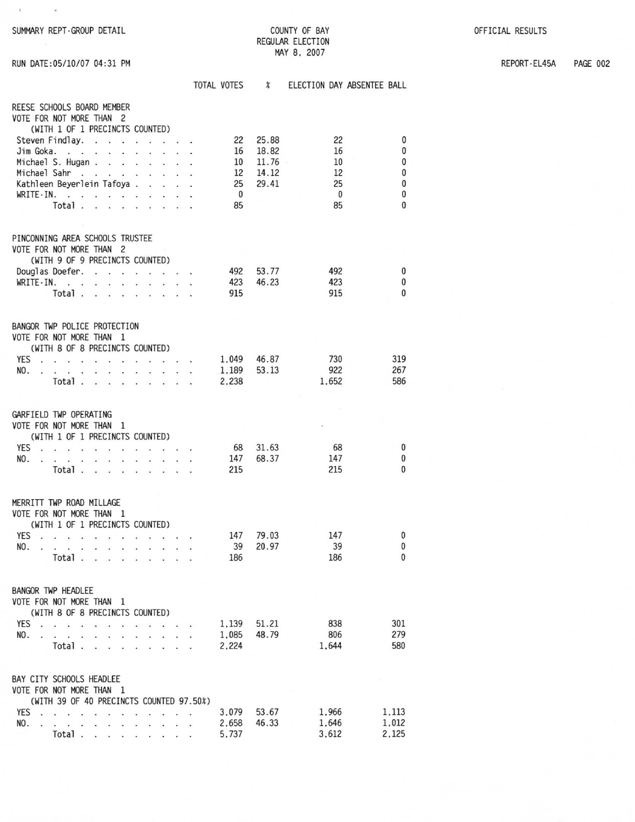REPORT-EL45A

**PAGE 002** 

| $\leq$                                                |                    |                         |                    |                            |
|-------------------------------------------------------|--------------------|-------------------------|--------------------|----------------------------|
| SUMMARY REPT-GROUP DETAIL                             |                    |                         | COUNTY OF BAY      |                            |
|                                                       |                    | <b>REGULAR ELECTION</b> |                    |                            |
| RUN DATE: 05/10/07 04:31 PM                           |                    |                         | MAY 8, 2007        |                            |
|                                                       |                    |                         |                    |                            |
|                                                       | TOTAL VOTES %      |                         |                    | ELECTION DAY ABSENTEE BALL |
| REESE SCHOOLS BOARD MEMBER                            |                    |                         |                    |                            |
| VOTE FOR NOT MORE THAN 2                              |                    |                         |                    |                            |
| (WITH 1 OF 1 PRECINCTS COUNTED)<br>Steven Findlay.    | 22                 | 25.88                   | 22                 | 0                          |
| Jim Goka.                                             |                    | 16 18.82                | 16                 | $\bf{0}$                   |
| Michael S. Hugan                                      |                    | $10 \quad 11.76$        | 10                 | 0                          |
| Michael Sahr                                          |                    | 12 14.12                | 12                 | $\pmb{0}$                  |
| Kathleen Beyerlein Tafoya<br>WRITE-IN.                | 25<br>$\mathbf{0}$ | 29.41                   | 25<br>$\mathbf{0}$ | $\bf{0}$<br>$\mathbf 0$    |
| Total                                                 | 85                 |                         | 85                 | $\bf{0}$                   |
|                                                       |                    |                         |                    |                            |
| PINCONNING AREA SCHOOLS TRUSTEE                       |                    |                         |                    |                            |
| VOTE FOR NOT MORE THAN 2                              |                    |                         |                    |                            |
| (WITH 9 OF 9 PRECINCTS COUNTED)                       |                    |                         |                    |                            |
| Douglas Doefer.<br>WRITE-IN.                          | 492                | 53.77<br>423 46.23      | 492<br>423         | 0<br>0                     |
| Total                                                 | 915                |                         | 915                | 0                          |
|                                                       |                    |                         |                    |                            |
| BANGOR TWP POLICE PROTECTION                          |                    |                         |                    |                            |
| VOTE FOR NOT MORE THAN 1                              |                    |                         |                    |                            |
| (WITH 8 OF 8 PRECINCTS COUNTED)                       |                    |                         |                    |                            |
| YES 1,049 46.87                                       |                    |                         | 730                | 319                        |
| NO.                                                   | 1,189<br>2,238     | 53.13                   | 922<br>1,652       | 267<br>586                 |
| Total $\cdots$ $\cdots$ $\cdots$                      |                    |                         |                    |                            |
| GARFIELD TWP OPERATING                                |                    |                         |                    |                            |
| VOTE FOR NOT MORE THAN 1                              |                    |                         |                    |                            |
| (WITH 1 OF 1 PRECINCTS COUNTED)                       |                    |                         |                    |                            |
| YES                                                   | - 68               | 31.63                   | 68                 | 0                          |
| NO.<br>the property of the contract of the con-       | 147<br>215         | 68.37                   | 147<br>215         | $\bf{0}$<br>$\bf{0}$       |
| Total $\cdots$ $\cdots$ $\cdots$                      |                    |                         |                    |                            |
|                                                       |                    |                         |                    |                            |
| MERRITT TWP ROAD MILLAGE<br>VOTE FOR NOT MORE THAN 1  |                    |                         |                    |                            |
| (WITH 1 OF 1 PRECINCTS COUNTED)                       |                    |                         |                    |                            |
| YES<br>$\cdot$ $\cdot$<br>$\ddot{\phantom{0}}$<br>à.  |                    | 147 79.03               | 147                | $\mathbf{0}$               |
| NO.<br>$\cdot$ .                                      | 39                 | 20.97                   | 39                 | $\mathbf{0}$               |
| Total.                                                | 186                |                         | 186                | $\Omega$                   |
|                                                       |                    |                         |                    |                            |
| <b>BANGOR TWP HEADLEE</b><br>VOTE FOR NOT MORE THAN 1 |                    |                         |                    |                            |
| (WITH 8 OF 8 PRECINCTS COUNTED)                       |                    |                         |                    |                            |
| YES.<br>$\cdot$ .<br>¥                                |                    | 1,139 51.21             | 838                | 301                        |
| NO.                                                   | 1,085              | 48.79                   | 806                | 279                        |
| Total.                                                | 2.224              |                         | 1,644              | 580                        |
|                                                       |                    |                         |                    |                            |
| BAY CITY SCHOOLS HEADLEE<br>VOTE FOR NOT MORE THAN 1  |                    |                         |                    |                            |
| (WITH 39 OF 40 PRECINCTS COUNTED 97.50%)              |                    |                         |                    |                            |
| YES                                                   | 3,079              | 53.67                   | 1,966              | 1.113                      |
| NO.<br>. .                                            | 2,658              | 46.33                   | 1,646              | 1,012                      |
| Total.                                                | 5.737              |                         | 3.612              | 2.125                      |